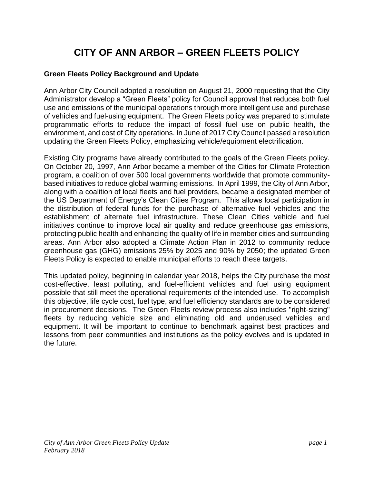# **CITY OF ANN ARBOR – GREEN FLEETS POLICY**

#### **Green Fleets Policy Background and Update**

Ann Arbor City Council adopted a resolution on August 21, 2000 requesting that the City Administrator develop a "Green Fleets" policy for Council approval that reduces both fuel use and emissions of the municipal operations through more intelligent use and purchase of vehicles and fuel-using equipment. The Green Fleets policy was prepared to stimulate programmatic efforts to reduce the impact of fossil fuel use on public health, the environment, and cost of City operations. In June of 2017 City Council passed a resolution updating the Green Fleets Policy, emphasizing vehicle/equipment electrification.

Existing City programs have already contributed to the goals of the Green Fleets policy. On October 20, 1997, Ann Arbor became a member of the Cities for Climate Protection program, a coalition of over 500 local governments worldwide that promote communitybased initiatives to reduce global warming emissions. In April 1999, the City of Ann Arbor, along with a coalition of local fleets and fuel providers, became a designated member of the US Department of Energy's Clean Cities Program. This allows local participation in the distribution of federal funds for the purchase of alternative fuel vehicles and the establishment of alternate fuel infrastructure. These Clean Cities vehicle and fuel initiatives continue to improve local air quality and reduce greenhouse gas emissions, protecting public health and enhancing the quality of life in member cities and surrounding areas. Ann Arbor also adopted a Climate Action Plan in 2012 to community reduce greenhouse gas (GHG) emissions 25% by 2025 and 90% by 2050; the updated Green Fleets Policy is expected to enable municipal efforts to reach these targets.

This updated policy, beginning in calendar year 2018, helps the City purchase the most cost-effective, least polluting, and fuel-efficient vehicles and fuel using equipment possible that still meet the operational requirements of the intended use. To accomplish this objective, life cycle cost, fuel type, and fuel efficiency standards are to be considered in procurement decisions. The Green Fleets review process also includes "right-sizing" fleets by reducing vehicle size and eliminating old and underused vehicles and equipment. It will be important to continue to benchmark against best practices and lessons from peer communities and institutions as the policy evolves and is updated in the future.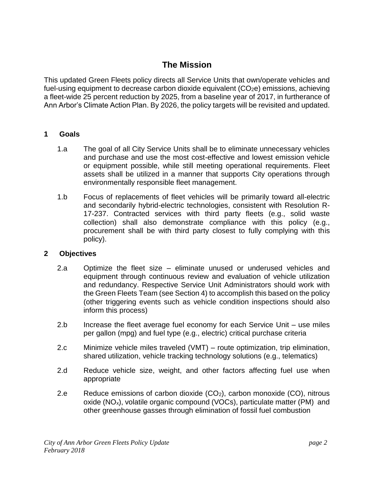## **The Mission**

This updated Green Fleets policy directs all Service Units that own/operate vehicles and fuel-using equipment to decrease carbon dioxide equivalent  $(CO<sub>2</sub>e)$  emissions, achieving a fleet-wide 25 percent reduction by 2025, from a baseline year of 2017, in furtherance of Ann Arbor's Climate Action Plan. By 2026, the policy targets will be revisited and updated.

## **1 Goals**

- 1.a The goal of all City Service Units shall be to eliminate unnecessary vehicles and purchase and use the most cost-effective and lowest emission vehicle or equipment possible, while still meeting operational requirements. Fleet assets shall be utilized in a manner that supports City operations through environmentally responsible fleet management.
- 1.b Focus of replacements of fleet vehicles will be primarily toward all-electric and secondarily hybrid-electric technologies, consistent with Resolution R-17-237. Contracted services with third party fleets (e.g., solid waste collection) shall also demonstrate compliance with this policy (e.g., procurement shall be with third party closest to fully complying with this policy).

## **2 Objectives**

- 2.a Optimize the fleet size eliminate unused or underused vehicles and equipment through continuous review and evaluation of vehicle utilization and redundancy. Respective Service Unit Administrators should work with the Green Fleets Team (see Section 4) to accomplish this based on the policy (other triggering events such as vehicle condition inspections should also inform this process)
- 2.b Increase the fleet average fuel economy for each Service Unit use miles per gallon (mpg) and fuel type (e.g., electric) critical purchase criteria
- 2.c Minimize vehicle miles traveled (VMT) route optimization, trip elimination, shared utilization, vehicle tracking technology solutions (e.g., telematics)
- 2.d Reduce vehicle size, weight, and other factors affecting fuel use when appropriate
- 2.e Reduce emissions of carbon dioxide  $(CO_2)$ , carbon monoxide  $(CO)$ , nitrous oxide (NOx), volatile organic compound (VOCs), particulate matter (PM) and other greenhouse gasses through elimination of fossil fuel combustion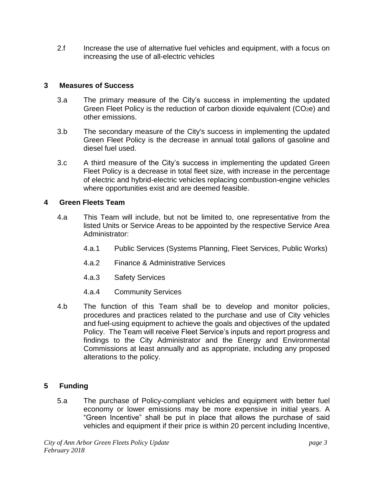2.f Increase the use of alternative fuel vehicles and equipment, with a focus on increasing the use of all-electric vehicles

## **3 Measures of Success**

- 3.a The primary measure of the City's success in implementing the updated Green Fleet Policy is the reduction of carbon dioxide equivalent (CO2e) and other emissions.
- 3.b The secondary measure of the City's success in implementing the updated Green Fleet Policy is the decrease in annual total gallons of gasoline and diesel fuel used.
- 3.c A third measure of the City's success in implementing the updated Green Fleet Policy is a decrease in total fleet size, with increase in the percentage of electric and hybrid-electric vehicles replacing combustion-engine vehicles where opportunities exist and are deemed feasible.

## **4 Green Fleets Team**

- 4.a This Team will include, but not be limited to, one representative from the listed Units or Service Areas to be appointed by the respective Service Area Administrator:
	- 4.a.1 Public Services (Systems Planning, Fleet Services, Public Works)
	- 4.a.2 Finance & Administrative Services
	- 4.a.3 Safety Services
	- 4.a.4 Community Services
- 4.b The function of this Team shall be to develop and monitor policies, procedures and practices related to the purchase and use of City vehicles and fuel-using equipment to achieve the goals and objectives of the updated Policy. The Team will receive Fleet Service's inputs and report progress and findings to the City Administrator and the Energy and Environmental Commissions at least annually and as appropriate, including any proposed alterations to the policy.

## **5 Funding**

5.a The purchase of Policy-compliant vehicles and equipment with better fuel economy or lower emissions may be more expensive in initial years. A "Green Incentive" shall be put in place that allows the purchase of said vehicles and equipment if their price is within 20 percent including Incentive,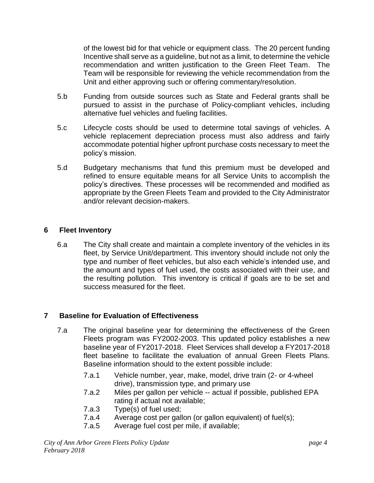of the lowest bid for that vehicle or equipment class. The 20 percent funding Incentive shall serve as a guideline, but not as a limit, to determine the vehicle recommendation and written justification to the Green Fleet Team. The Team will be responsible for reviewing the vehicle recommendation from the Unit and either approving such or offering commentary/resolution.

- 5.b Funding from outside sources such as State and Federal grants shall be pursued to assist in the purchase of Policy-compliant vehicles, including alternative fuel vehicles and fueling facilities.
- 5.c Lifecycle costs should be used to determine total savings of vehicles. A vehicle replacement depreciation process must also address and fairly accommodate potential higher upfront purchase costs necessary to meet the policy's mission.
- 5.d Budgetary mechanisms that fund this premium must be developed and refined to ensure equitable means for all Service Units to accomplish the policy's directives. These processes will be recommended and modified as appropriate by the Green Fleets Team and provided to the City Administrator and/or relevant decision-makers.

## **6 Fleet Inventory**

6.a The City shall create and maintain a complete inventory of the vehicles in its fleet, by Service Unit/department. This inventory should include not only the type and number of fleet vehicles, but also each vehicle's intended use, and the amount and types of fuel used, the costs associated with their use, and the resulting pollution. This inventory is critical if goals are to be set and success measured for the fleet.

## **7 Baseline for Evaluation of Effectiveness**

- 7.a The original baseline year for determining the effectiveness of the Green Fleets program was FY2002-2003. This updated policy establishes a new baseline year of FY2017-2018. Fleet Services shall develop a FY2017-2018 fleet baseline to facilitate the evaluation of annual Green Fleets Plans. Baseline information should to the extent possible include:
	- 7.a.1 Vehicle number, year, make, model, drive train (2- or 4-wheel drive), transmission type, and primary use
	- 7.a.2 Miles per gallon per vehicle -- actual if possible, published EPA rating if actual not available;
	- 7.a.3 Type(s) of fuel used;
	- 7.a.4 Average cost per gallon (or gallon equivalent) of fuel(s);
	- 7.a.5 Average fuel cost per mile, if available;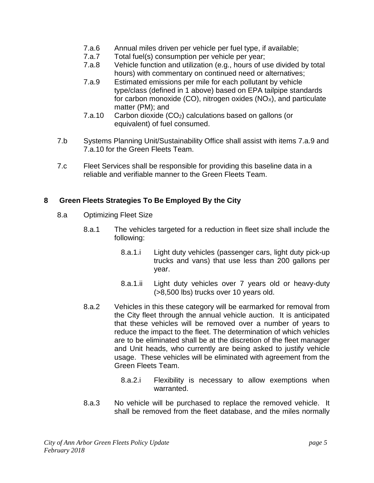- 7.a.6 Annual miles driven per vehicle per fuel type, if available;
- 7.a.7 Total fuel(s) consumption per vehicle per year;
- 7.a.8 Vehicle function and utilization (e.g., hours of use divided by total hours) with commentary on continued need or alternatives;
- 7.a.9 Estimated emissions per mile for each pollutant by vehicle type/class (defined in 1 above) based on EPA tailpipe standards for carbon monoxide (CO), nitrogen oxides ( $NO<sub>x</sub>$ ), and particulate matter (PM); and
- 7.a.10 Carbon dioxide (CO2) calculations based on gallons (or equivalent) of fuel consumed.
- 7.b Systems Planning Unit/Sustainability Office shall assist with items 7.a.9 and 7.a.10 for the Green Fleets Team.
- 7.c Fleet Services shall be responsible for providing this baseline data in a reliable and verifiable manner to the Green Fleets Team.

## **8 Green Fleets Strategies To Be Employed By the City**

- 8.a Optimizing Fleet Size
	- 8.a.1 The vehicles targeted for a reduction in fleet size shall include the following:
		- 8.a.1.i Light duty vehicles (passenger cars, light duty pick-up trucks and vans) that use less than 200 gallons per year.
		- 8.a.1.ii Light duty vehicles over 7 years old or heavy-duty (>8,500 lbs) trucks over 10 years old.
	- 8.a.2 Vehicles in this these category will be earmarked for removal from the City fleet through the annual vehicle auction. It is anticipated that these vehicles will be removed over a number of years to reduce the impact to the fleet. The determination of which vehicles are to be eliminated shall be at the discretion of the fleet manager and Unit heads, who currently are being asked to justify vehicle usage. These vehicles will be eliminated with agreement from the Green Fleets Team.
		- 8.a.2.i Flexibility is necessary to allow exemptions when warranted.
	- 8.a.3 No vehicle will be purchased to replace the removed vehicle. It shall be removed from the fleet database, and the miles normally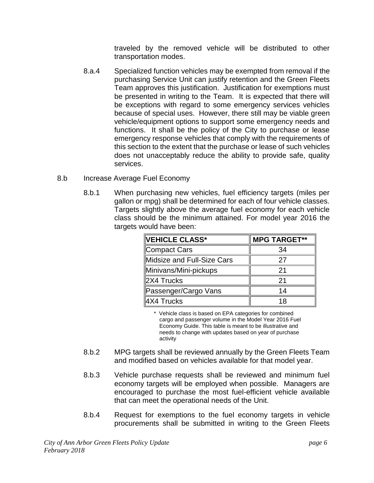traveled by the removed vehicle will be distributed to other transportation modes.

- 8.a.4 Specialized function vehicles may be exempted from removal if the purchasing Service Unit can justify retention and the Green Fleets Team approves this justification. Justification for exemptions must be presented in writing to the Team. It is expected that there will be exceptions with regard to some emergency services vehicles because of special uses. However, there still may be viable green vehicle/equipment options to support some emergency needs and functions. It shall be the policy of the City to purchase or lease emergency response vehicles that comply with the requirements of this section to the extent that the purchase or lease of such vehicles does not unacceptably reduce the ability to provide safe, quality services.
- 8.b Increase Average Fuel Economy
	- 8.b.1 When purchasing new vehicles, fuel efficiency targets (miles per gallon or mpg) shall be determined for each of four vehicle classes. Targets slightly above the average fuel economy for each vehicle class should be the minimum attained. For model year 2016 the targets would have been:

| VEHICLE CLASS*             | <b>MPG TARGET**</b> |
|----------------------------|---------------------|
| Compact Cars               | 34                  |
| Midsize and Full-Size Cars | 27                  |
| Minivans/Mini-pickups      | 21                  |
| 2X4 Trucks                 | 21                  |
| Passenger/Cargo Vans       | 14                  |
| ∥4X4 Trucks                | 18                  |

\* Vehicle class is based on EPA categories for combined cargo and passenger volume in the Model Year 2016 Fuel Economy Guide. This table is meant to be illustrative and needs to change with updates based on year of purchase activity

- 8.b.2 MPG targets shall be reviewed annually by the Green Fleets Team and modified based on vehicles available for that model year.
- 8.b.3 Vehicle purchase requests shall be reviewed and minimum fuel economy targets will be employed when possible. Managers are encouraged to purchase the most fuel-efficient vehicle available that can meet the operational needs of the Unit.
- 8.b.4 Request for exemptions to the fuel economy targets in vehicle procurements shall be submitted in writing to the Green Fleets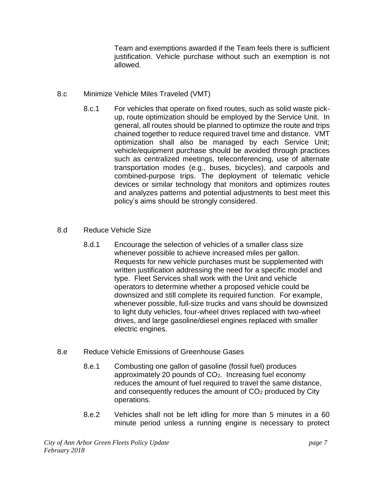Team and exemptions awarded if the Team feels there is sufficient justification. Vehicle purchase without such an exemption is not allowed.

- 8.c Minimize Vehicle Miles Traveled (VMT)
	- 8.c.1 For vehicles that operate on fixed routes, such as solid waste pickup, route optimization should be employed by the Service Unit. In general, all routes should be planned to optimize the route and trips chained together to reduce required travel time and distance. VMT optimization shall also be managed by each Service Unit; vehicle/equipment purchase should be avoided through practices such as centralized meetings, teleconferencing, use of alternate transportation modes (e.g., buses, bicycles), and carpools and combined-purpose trips. The deployment of telematic vehicle devices or similar technology that monitors and optimizes routes and analyzes patterns and potential adjustments to best meet this policy's aims should be strongly considered.

## 8.d Reduce Vehicle Size

8.d.1 Encourage the selection of vehicles of a smaller class size whenever possible to achieve increased miles per gallon. Requests for new vehicle purchases must be supplemented with written justification addressing the need for a specific model and type. Fleet Services shall work with the Unit and vehicle operators to determine whether a proposed vehicle could be downsized and still complete its required function. For example, whenever possible, full-size trucks and vans should be downsized to light duty vehicles, four-wheel drives replaced with two-wheel drives, and large gasoline/diesel engines replaced with smaller electric engines.

## 8.e Reduce Vehicle Emissions of Greenhouse Gases

- 8.e.1 Combusting one gallon of gasoline (fossil fuel) produces approximately 20 pounds of CO<sub>2</sub>. Increasing fuel economy reduces the amount of fuel required to travel the same distance, and consequently reduces the amount of CO<sub>2</sub> produced by City operations.
- 8.e.2 Vehicles shall not be left idling for more than 5 minutes in a 60 minute period unless a running engine is necessary to protect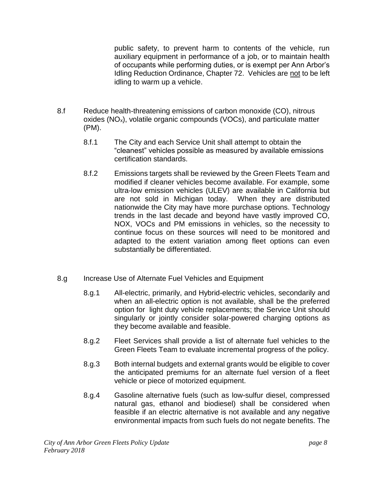public safety, to prevent harm to contents of the vehicle, run auxiliary equipment in performance of a job, or to maintain health of occupants while performing duties, or is exempt per Ann Arbor's Idling Reduction Ordinance, Chapter 72. Vehicles are not to be left idling to warm up a vehicle.

- 8.f Reduce health-threatening emissions of carbon monoxide (CO), nitrous oxides  $(NO<sub>x</sub>)$ , volatile organic compounds  $(VOCs)$ , and particulate matter (PM).
	- 8.f.1 The City and each Service Unit shall attempt to obtain the "cleanest" vehicles possible as measured by available emissions certification standards.
	- 8.f.2 Emissions targets shall be reviewed by the Green Fleets Team and modified if cleaner vehicles become available. For example, some ultra-low emission vehicles (ULEV) are available in California but are not sold in Michigan today. When they are distributed nationwide the City may have more purchase options. Technology trends in the last decade and beyond have vastly improved CO, NOX, VOCs and PM emissions in vehicles, so the necessity to continue focus on these sources will need to be monitored and adapted to the extent variation among fleet options can even substantially be differentiated.
- 8.g Increase Use of Alternate Fuel Vehicles and Equipment
	- 8.g.1 All-electric, primarily, and Hybrid-electric vehicles, secondarily and when an all-electric option is not available, shall be the preferred option for light duty vehicle replacements; the Service Unit should singularly or jointly consider solar-powered charging options as they become available and feasible.
	- 8.g.2 Fleet Services shall provide a list of alternate fuel vehicles to the Green Fleets Team to evaluate incremental progress of the policy.
	- 8.g.3 Both internal budgets and external grants would be eligible to cover the anticipated premiums for an alternate fuel version of a fleet vehicle or piece of motorized equipment.
	- 8.g.4 Gasoline alternative fuels (such as low-sulfur diesel, compressed natural gas, ethanol and biodiesel) shall be considered when feasible if an electric alternative is not available and any negative environmental impacts from such fuels do not negate benefits. The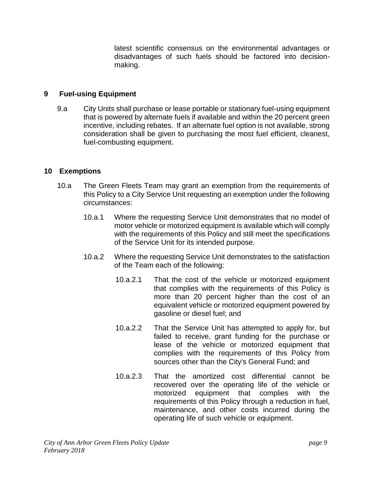latest scientific consensus on the environmental advantages or disadvantages of such fuels should be factored into decisionmaking.

## **9 Fuel-using Equipment**

9.a City Units shall purchase or lease portable or stationary fuel-using equipment that is powered by alternate fuels if available and within the 20 percent green incentive, including rebates. If an alternate fuel option is not available, strong consideration shall be given to purchasing the most fuel efficient, cleanest, fuel-combusting equipment.

## **10 Exemptions**

- 10.a The Green Fleets Team may grant an exemption from the requirements of this Policy to a City Service Unit requesting an exemption under the following circumstances:
	- 10.a.1 Where the requesting Service Unit demonstrates that no model of motor vehicle or motorized equipment is available which will comply with the requirements of this Policy and still meet the specifications of the Service Unit for its intended purpose.
	- 10.a.2 Where the requesting Service Unit demonstrates to the satisfaction of the Team each of the following:
		- 10.a.2.1 That the cost of the vehicle or motorized equipment that complies with the requirements of this Policy is more than 20 percent higher than the cost of an equivalent vehicle or motorized equipment powered by gasoline or diesel fuel; and
		- 10.a.2.2 That the Service Unit has attempted to apply for, but failed to receive, grant funding for the purchase or lease of the vehicle or motorized equipment that complies with the requirements of this Policy from sources other than the City's General Fund; and
		- 10.a.2.3 That the amortized cost differential cannot be recovered over the operating life of the vehicle or motorized equipment that complies with the requirements of this Policy through a reduction in fuel, maintenance, and other costs incurred during the operating life of such vehicle or equipment.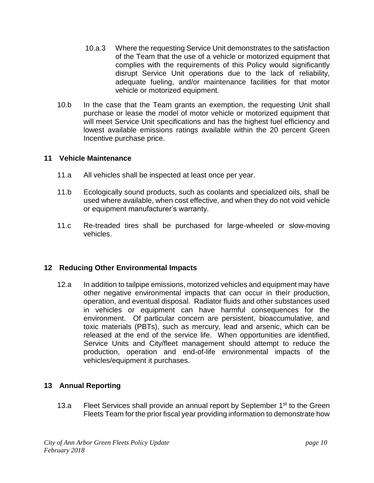- 10.a.3 Where the requesting Service Unit demonstrates to the satisfaction of the Team that the use of a vehicle or motorized equipment that complies with the requirements of this Policy would significantly disrupt Service Unit operations due to the lack of reliability, adequate fueling, and/or maintenance facilities for that motor vehicle or motorized equipment.
- 10.b In the case that the Team grants an exemption, the requesting Unit shall purchase or lease the model of motor vehicle or motorized equipment that will meet Service Unit specifications and has the highest fuel efficiency and lowest available emissions ratings available within the 20 percent Green Incentive purchase price.

## **11 Vehicle Maintenance**

- 11.a All vehicles shall be inspected at least once per year.
- 11.b Ecologically sound products, such as coolants and specialized oils, shall be used where available, when cost effective, and when they do not void vehicle or equipment manufacturer's warranty.
- 11.c Re-treaded tires shall be purchased for large-wheeled or slow-moving vehicles.

## **12 Reducing Other Environmental Impacts**

12.a In addition to tailpipe emissions, motorized vehicles and equipment may have other negative environmental impacts that can occur in their production, operation, and eventual disposal. Radiator fluids and other substances used in vehicles or equipment can have harmful consequences for the environment. Of particular concern are persistent, bioaccumulative, and toxic materials (PBTs), such as mercury, lead and arsenic, which can be released at the end of the service life. When opportunities are identified, Service Units and City/fleet management should attempt to reduce the production, operation and end-of-life environmental impacts of the vehicles/equipment it purchases.

## **13 Annual Reporting**

13.a Fleet Services shall provide an annual report by September 1<sup>st</sup> to the Green Fleets Team for the prior fiscal year providing information to demonstrate how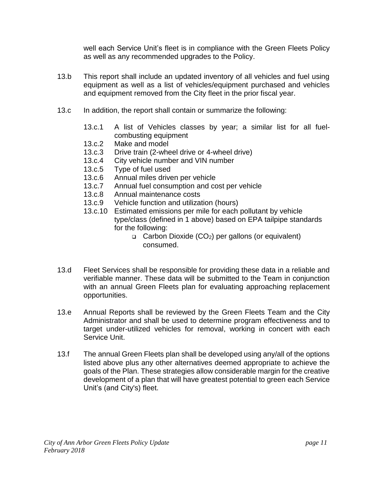well each Service Unit's fleet is in compliance with the Green Fleets Policy as well as any recommended upgrades to the Policy.

- 13.b This report shall include an updated inventory of all vehicles and fuel using equipment as well as a list of vehicles/equipment purchased and vehicles and equipment removed from the City fleet in the prior fiscal year.
- 13.c In addition, the report shall contain or summarize the following:
	- 13.c.1 A list of Vehicles classes by year; a similar list for all fuelcombusting equipment
	- 13.c.2 Make and model
	- 13.c.3 Drive train (2-wheel drive or 4-wheel drive)
	- 13.c.4 City vehicle number and VIN number
	- 13.c.5 Type of fuel used
	- 13.c.6 Annual miles driven per vehicle
	- 13.c.7 Annual fuel consumption and cost per vehicle
	- 13.c.8 Annual maintenance costs
	- 13.c.9 Vehicle function and utilization (hours)
	- 13.c.10 Estimated emissions per mile for each pollutant by vehicle type/class (defined in 1 above) based on EPA tailpipe standards for the following:
		- $\Box$  Carbon Dioxide (CO<sub>2</sub>) per gallons (or equivalent) consumed.
- 13.d Fleet Services shall be responsible for providing these data in a reliable and verifiable manner. These data will be submitted to the Team in conjunction with an annual Green Fleets plan for evaluating approaching replacement opportunities.
- 13.e Annual Reports shall be reviewed by the Green Fleets Team and the City Administrator and shall be used to determine program effectiveness and to target under-utilized vehicles for removal, working in concert with each Service Unit.
- 13.f The annual Green Fleets plan shall be developed using any/all of the options listed above plus any other alternatives deemed appropriate to achieve the goals of the Plan. These strategies allow considerable margin for the creative development of a plan that will have greatest potential to green each Service Unit's (and City's) fleet.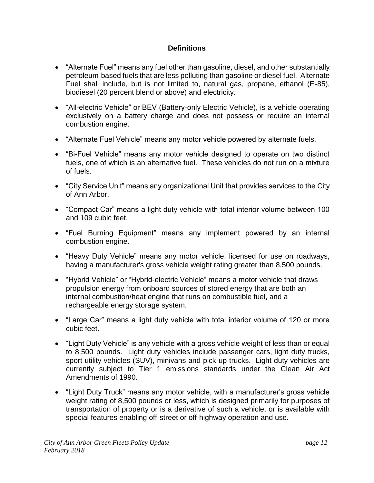## **Definitions**

- "Alternate Fuel" means any fuel other than gasoline, diesel, and other substantially petroleum-based fuels that are less polluting than gasoline or diesel fuel. Alternate Fuel shall include, but is not limited to, natural gas, propane, ethanol (E-85), biodiesel (20 percent blend or above) and electricity.
- "All-electric Vehicle" or BEV (Battery-only Electric Vehicle), is a vehicle operating exclusively on a battery charge and does not possess or require an internal combustion engine.
- "Alternate Fuel Vehicle" means any motor vehicle powered by alternate fuels.
- "Bi-Fuel Vehicle" means any motor vehicle designed to operate on two distinct fuels, one of which is an alternative fuel. These vehicles do not run on a mixture of fuels.
- "City Service Unit" means any organizational Unit that provides services to the City of Ann Arbor.
- "Compact Car" means a light duty vehicle with total interior volume between 100 and 109 cubic feet.
- "Fuel Burning Equipment" means any implement powered by an internal combustion engine.
- "Heavy Duty Vehicle" means any motor vehicle, licensed for use on roadways, having a manufacturer's gross vehicle weight rating greater than 8,500 pounds.
- "Hybrid Vehicle" or "Hybrid-electric Vehicle" means a motor vehicle that draws propulsion energy from onboard sources of stored energy that are both an internal combustion/heat engine that runs on combustible fuel, and a rechargeable energy storage system.
- "Large Car" means a light duty vehicle with total interior volume of 120 or more cubic feet.
- "Light Duty Vehicle" is any vehicle with a gross vehicle weight of less than or equal to 8,500 pounds. Light duty vehicles include passenger cars, light duty trucks, sport utility vehicles (SUV), minivans and pick-up trucks. Light duty vehicles are currently subject to Tier 1 emissions standards under the Clean Air Act Amendments of 1990.
- "Light Duty Truck" means any motor vehicle, with a manufacturer's gross vehicle weight rating of 8,500 pounds or less, which is designed primarily for purposes of transportation of property or is a derivative of such a vehicle, or is available with special features enabling off-street or off-highway operation and use.